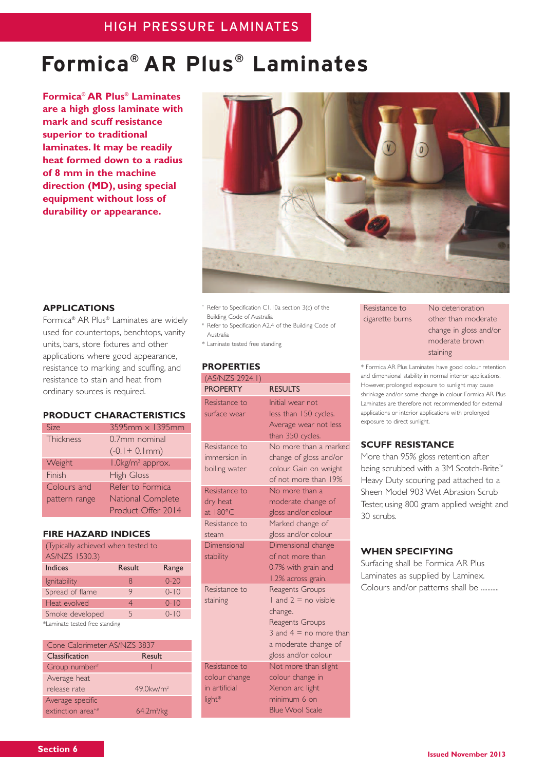# **Formica® AR Plus® Laminates**

**Formica® AR Plus® Laminates are a high gloss laminate with mark and scuff resistance superior to traditional laminates. It may be readily heat formed down to a radius of 8 mm in the machine direction (MD), using special equipment without loss of durability or appearance.**



# **APPLICATIONS**

Formica® AR Plus® Laminates are widely used for countertops, benchtops, vanity units, bars, store fixtures and other applications where good appearance, resistance to marking and scuffing, and resistance to stain and heat from ordinary sources is required.

# **PRODUCT CHARACTERISTICS**

| Size          | $3595$ mm $\times$ 1395mm    |
|---------------|------------------------------|
| Thickness     | 0.7mm nominal                |
|               | $(-0.1 + 0.1)$ mm)           |
| Weight        | I.0kg/m <sup>2</sup> approx. |
| Finish        | <b>High Gloss</b>            |
| Colours and   | Refer to Formica             |
| pattern range | National Complete            |
|               | Product Offer 2014           |

#### **FIRE HAZARD INDICES**

| (Typically achieved when tested to<br>AS/NZS 1530.3) |        |          |
|------------------------------------------------------|--------|----------|
| <b>Indices</b>                                       | Result | Range    |
| <i>Ignitability</i>                                  | 8      | $0 - 20$ |
| Spread of flame                                      | 9      | $0 - 10$ |
| Heat evolved                                         | 4      | $0 - 10$ |
| Smoke developed                                      | 5      | $0 - 10$ |
| *Laminate tested free standing                       |        |          |

| Cone Calorimeter AS/NZS 3837  |                          |  |
|-------------------------------|--------------------------|--|
| Classification                | Result                   |  |
| Group number <sup>#</sup>     |                          |  |
| Average heat                  |                          |  |
| release rate                  | $49.0$ kw/m <sup>2</sup> |  |
| Average specific              |                          |  |
| extinction area <sup>+#</sup> | 64.2m <sup>2</sup> /kg   |  |

- <sup>+</sup> Refer to Specification C1.10a section 3(c) of the Building Code of Australia
- # Refer to Specification A2.4 of the Building Code of Australia
- \* Laminate tested free standing

#### **PROPERTIES**

| (AS/NZS 2924.1)                                                  |                                                                                                                                                             |
|------------------------------------------------------------------|-------------------------------------------------------------------------------------------------------------------------------------------------------------|
| <b>PROPERTY</b>                                                  | <b>RESULTS</b>                                                                                                                                              |
| Resistance to<br>surface wear                                    | Initial wear not<br>less than 150 cycles.<br>Average wear not less<br>than 350 cycles.                                                                      |
| Resistance to<br>immersion in<br>boiling water                   | No more than a marked<br>change of gloss and/or<br>colour. Gain on weight<br>of not more than 19%                                                           |
| Resistance to<br>dry heat<br>at $180^{\circ}$ C<br>Resistance to | No more than a<br>moderate change of<br>gloss and/or colour<br>Marked change of                                                                             |
| steam<br>Dimensional<br>stability                                | gloss and/or colour<br>Dimensional change<br>of not more than<br>0.7% with grain and<br>1.2% across grain.                                                  |
| Resistance to<br>staining                                        | Reagents Groups<br>$1$ and $2 =$ no visible<br>change.<br><b>Reagents Groups</b><br>3 and $4 =$ no more than<br>a moderate change of<br>gloss and/or colour |
| Resistance to<br>colour change<br>in artificial<br>light*        | Not more than slight<br>colour change in<br>Xenon arc light<br>minimum 6 on<br><b>Blue Wool Scale</b>                                                       |

Resistance to No deterioration

cigarette burns other than moderate change in gloss and/or moderate brown staining

\* Formica AR Plus Laminates have good colour retention and dimensional stability in normal interior applications. However, prolonged exposure to sunlight may cause shrinkage and/or some change in colour. Formica AR Plus Laminates are therefore not recommended for external applications or interior applications with prolonged exposure to direct sunlight.

## **SCUFF RESISTANCE**

More than 95% gloss retention after being scrubbed with a 3M Scotch-Brite™ Heavy Duty scouring pad attached to a Sheen Model 903 Wet Abrasion Scrub Tester, using 800 gram applied weight and 30 scrubs.

#### **WHEN SPECIFYING**

Surfacing shall be Formica AR Plus Laminates as supplied by Laminex. Colours and/or patterns shall be ...........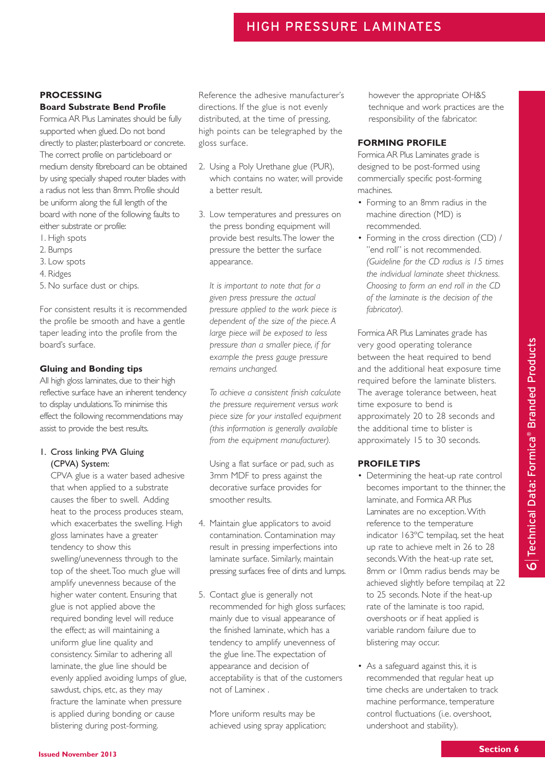# **PROCESSING**

## **Board Substrate Bend Profile**

Formica AR Plus Laminates should be fully supported when glued. Do not bond directly to plaster, plasterboard or concrete. The correct profile on particleboard or medium density fibreboard can be obtained by using specially shaped router blades with a radius not less than 8mm. Profile should be uniform along the full length of the board with none of the following faults to either substrate or profile:

- 1. High spots
- 2. Bumps
- 3. Low spots
- 4. Ridges
- 5. No surface dust or chips.

For consistent results it is recommended the profile be smooth and have a gentle taper leading into the profile from the board's surface.

## **Gluing and Bonding tips**

All high gloss laminates, due to their high reflective surface have an inherent tendency to display undulations.To minimise this effect the following recommendations may assist to provide the best results.

## 1. Cross linking PVA Gluing (CPVA) System:

CPVA glue is a water based adhesive that when applied to a substrate causes the fiber to swell. Adding heat to the process produces steam, which exacerbates the swelling. High gloss laminates have a greater tendency to show this swelling/unevenness through to the top of the sheet.Too much glue will amplify unevenness because of the higher water content. Ensuring that glue is not applied above the required bonding level will reduce the effect; as will maintaining a uniform glue line quality and consistency. Similar to adhering all laminate, the glue line should be evenly applied avoiding lumps of glue, sawdust, chips, etc, as they may fracture the laminate when pressure is applied during bonding or cause blistering during post-forming.

Reference the adhesive manufacturer's directions. If the glue is not evenly distributed, at the time of pressing, high points can be telegraphed by the gloss surface.

- 2. Using a Poly Urethane glue (PUR), which contains no water, will provide a better result.
- 3. Low temperatures and pressures on the press bonding equipment will provide best results.The lower the pressure the better the surface appearance.

*It is important to note that for a given press pressure the actual pressure applied to the work piece is dependent of the size of the piece. A large piece will be exposed to less pressure than a smaller piece, if for example the press gauge pressure remains unchanged.*

*To achieve a consistent finish calculate the pressure requirement versus work piece size for your installed equipment (this information is generally available from the equipment manufacturer).*

Using a flat surface or pad, such as 3mm MDF to press against the decorative surface provides for smoother results.

- 4. Maintain glue applicators to avoid contamination. Contamination may result in pressing imperfections into laminate surface. Similarly, maintain pressing surfaces free of dints and lumps.
- 5. Contact glue is generally not recommended for high gloss surfaces; mainly due to visual appearance of the finished laminate, which has a tendency to amplify unevenness of the glue line.The expectation of appearance and decision of acceptability is that of the customers not of Laminex .

More uniform results may be achieved using spray application; however the appropriate OH&S technique and work practices are the responsibility of the fabricator.

# **FORMING PROFILE**

Formica AR Plus Laminates grade is designed to be post-formed using commercially specific post-forming machines.

- Forming to an 8mm radius in the machine direction (MD) is recommended.
- Forming in the cross direction (CD) / "end roll" is not recommended. *(Guideline for the CD radius is 15 times the individual laminate sheet thickness. Choosing to form an end roll in the CD of the laminate is the decision of the fabricator).*

Formica AR Plus Laminates grade has very good operating tolerance between the heat required to bend and the additional heat exposure time required before the laminate blisters. The average tolerance between, heat time exposure to bend is approximately 20 to 28 seconds and the additional time to blister is approximately 15 to 30 seconds.

## **PROFILE TIPS**

- Determining the heat-up rate control becomes important to the thinner, the laminate, and Formica AR Plus Laminates are no exception.With reference to the temperature indicator 163ºC tempilaq, set the heat up rate to achieve melt in 26 to 28 seconds.With the heat-up rate set, 8mm or 10mm radius bends may be achieved slightly before tempilaq at 22 to 25 seconds. Note if the heat-up rate of the laminate is too rapid, overshoots or if heat applied is variable random failure due to blistering may occur.
- As a safeguard against this, it is recommended that regular heat up time checks are undertaken to track machine performance, temperature control fluctuations (i.e. overshoot, undershoot and stability).

 $\mathbf \Omega$